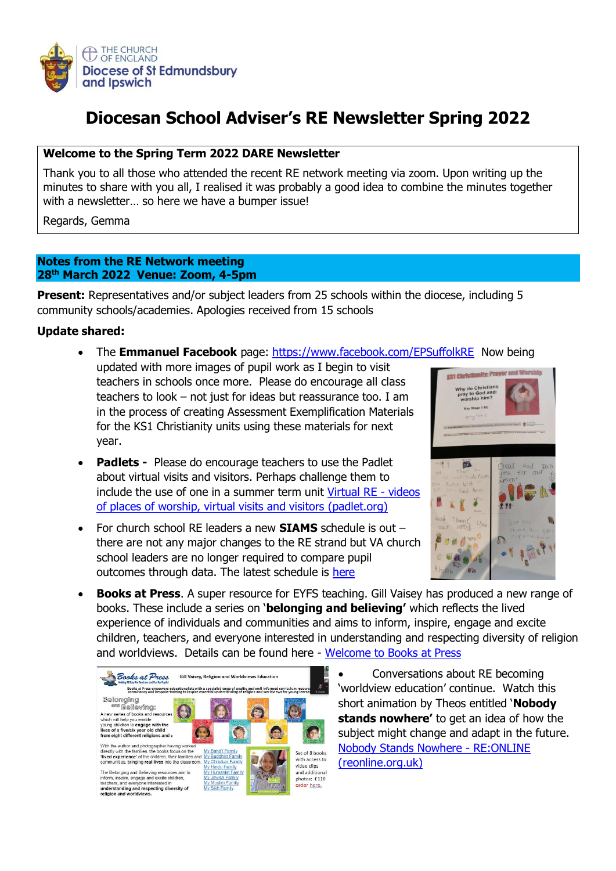

# **Diocesan School Adviser's RE Newsletter Spring 2022**

#### **Welcome to the Spring Term 2022 DARE Newsletter**

Thank you to all those who attended the recent RE network meeting via zoom. Upon writing up the minutes to share with you all, I realised it was probably a good idea to combine the minutes together with a newsletter… so here we have a bumper issue!

Regards, Gemma

#### **Notes from the RE Network meeting 28th March 2022 Venue: Zoom, 4-5pm**

**Present:** Representatives and/or subject leaders from 25 schools within the diocese, including 5 community schools/academies. Apologies received from 15 schools

## **Update shared:**

- The **Emmanuel Facebook** page:<https://www.facebook.com/EPSuffolkRE>Now being updated with more images of pupil work as I begin to visit teachers in schools once more. Please do encourage all class teachers to look – not just for ideas but reassurance too. I am in the process of creating Assessment Exemplification Materials for the KS1 Christianity units using these materials for next year.
- **Padlets -** Please do encourage teachers to use the Padlet about virtual visits and visitors. Perhaps challenge them to include the use of one in a summer term unit [Virtual RE -](https://cofesuffolk.padlet.org/gemmakingston1/xuiwor7oe1aiz6wt) videos [of places of worship, virtual visits and visitors \(padlet.org\)](https://cofesuffolk.padlet.org/gemmakingston1/xuiwor7oe1aiz6wt)
- For church school RE leaders a new **SIAMS** schedule is out there are not any major changes to the RE strand but VA church school leaders are no longer required to compare pupil outcomes through data. The latest schedule is [here](https://www.bing.com/search?q=siams+schedule+2021&cvid=e8e6a373ca584614b4fd6d9da476e61b&aqs=edge.0.0j69i57j0l7.5886j0j1&pglt=41&FORM=ANNTA1&PC=U531)



• **Books at Press**. A super resource for EYFS teaching. Gill Vaisey has produced a new range of books. These include a series on '**belonging and believing'** which reflects the lived experience of individuals and communities and aims to inform, inspire, engage and excite children, teachers, and everyone interested in understanding and respecting diversity of religion and worldviews. Details can be found here - [Welcome to Books at Press](http://www.booksatpress.co.uk/)



• Conversations about RE becoming 'worldview education' continue. Watch this short animation by Theos entitled '**Nobody stands nowhere'** to get an idea of how the subject might change and adapt in the future. [Nobody Stands Nowhere -](https://www.reonline.org.uk/news/nobody-stands-nowhere/) RE:ONLINE [\(reonline.org.uk\)](https://www.reonline.org.uk/news/nobody-stands-nowhere/)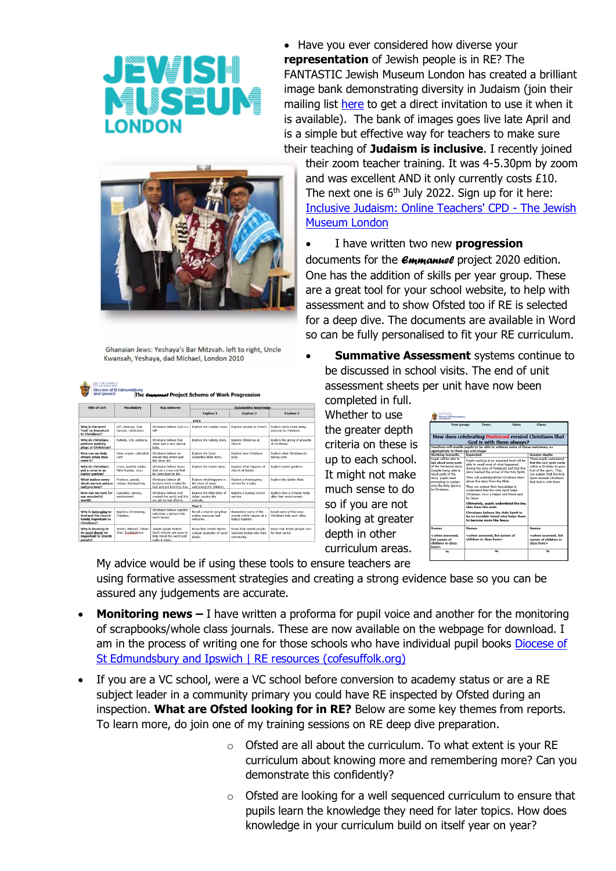

• Have you ever considered how diverse your **representation** of Jewish people is in RE? The FANTASTIC Jewish Museum London has created a brilliant image bank demonstrating diversity in Judaism (join their mailing list [here](https://jewishmuseum.org.uk/schools/subscribe-to-our-mailing-list/) to get a direct invitation to use it when it is available). The bank of images goes live late April and is a simple but effective way for teachers to make sure their teaching of **Judaism is inclusive**. I recently joined



Ghanaian Jews: Yeshaya's Bar Mitzyah, left to right, Uncle Kwansah, Yeshaya, dad Michael, London 2010

| <b>CD</b> THE CHURCH<br>and Ipswich                                             | <b>Diocese of St Edmundsbury</b>              | The <i><b>CHAMANAGE</b></i> Project Scheme of Work Progression                                   |                                                                          |                                                                     |                                                          |  |  |  |
|---------------------------------------------------------------------------------|-----------------------------------------------|--------------------------------------------------------------------------------------------------|--------------------------------------------------------------------------|---------------------------------------------------------------------|----------------------------------------------------------|--|--|--|
| Title of unit                                                                   | Vocabulary                                    | <b>Key outcome</b>                                                                               | Substantive knowledge                                                    |                                                                     |                                                          |  |  |  |
|                                                                                 |                                               |                                                                                                  | <b>Explore 1</b>                                                         | <b>Explore 2</b>                                                    | <b>Explore 3</b>                                         |  |  |  |
|                                                                                 |                                               |                                                                                                  | <b>EYES</b>                                                              |                                                                     |                                                          |  |  |  |
| Why is the word<br>'God' so important<br>to Christians?                         | VIP, treasure, God.<br>harvest, celebration.  | Christians believe God is a<br>VIP.                                                              | Explore the creation story.                                              | Explore harvest at church.                                          | Explore God's name being<br>precious to Christians.      |  |  |  |
| Why do Christians<br>perform nativity<br>plays at Christmas?                    | Nativity, crib, costume,                      | Christians helieve that<br>Jesus was a very special<br>baby.                                     | Explore the nativity story.                                              | <b>Explore Christmas at</b><br>church.                              | Explore the giving of presents<br>at Christmas.          |  |  |  |
| How can we help<br>others when they<br>need it?                                 | Hero, prayer, cathedral,<br>Lent              | Christians believe we<br>should help others just<br>like Jesus did.                              | Explore the Good<br>Samaritan Bible story.                               | Explore how Christians<br>pray.                                     | Explore what Christians do<br>during Lent.               |  |  |  |
| <b>Why do Christians</b><br>put a cross in an<br><b>Easter garden?</b>          | Cross, symbol, Easter,<br>Palm Sunday, vicar, | Christians helieve lesus<br>died on a cross but that<br>he came back to life.                    | Explore the Easter story.                                                | Explore what happens at<br>church at Faster.                        | Explore Easter gardens.                                  |  |  |  |
| What makes every<br>single person unique<br>and precious?                       | Precious, special,<br>unique, thanksgiving    | Christians believe all<br>humans were created by<br>God and are loved by him.                    | Explore what happens in<br>the story of Jesus<br>welcoming the children. | Explore a thanksgiving<br>service for a baby.                       | Explore the Golden Rule.                                 |  |  |  |
| How can we care for<br>our wonderful<br>world?                                  | Caretaker, service,<br>environment            | Christians helieve God<br>created the world and it is<br>our job to look after it.               | Explore the Bible story of<br>Adam naming the<br>animals.                | Explore a Sunday church<br>service.                                 | Explore how a Christan looks<br>after their environment. |  |  |  |
| Year 1                                                                          |                                               |                                                                                                  |                                                                          |                                                                     |                                                          |  |  |  |
| Why is belonging to<br>God and the church<br>family important to<br>Christians? | Baptism, Christening,<br>Christian.           | Christians believe baptism<br>welcomes a person into<br>God's family.                            | Recall a church song that<br>makes everyone feel<br>welcome.             | Remember some of the<br>events which happen at a<br>baby's baptism. | Recall some of the ways<br>Christians help each other.   |  |  |  |
| Why is learning to<br>do good deeds so<br>important to Jewish<br>people?        | Jewish, Mitzvah, Tikkun<br>Olan, Tzadakah box | Jewish people believe<br>God's mitzvot are ways to<br>help mend the world and<br>make it better. | Know that Jewish stories<br>contain examples of Good<br>deeds.           | Know that Jewish people<br>welcome habies into their<br>community.  | Know that Jewish people care<br>for their world.         |  |  |  |

their zoom teacher training. It was 4-5.30pm by zoom and was excellent AND it only currently costs £10. The next one is  $6<sup>th</sup>$  July 2022. Sign up for it here: [Inclusive Judaism: Online Teachers' CPD -](https://jewishmuseum.org.uk/event/inclusive-judaism-online-teachers-cpd/) The Jewish [Museum London](https://jewishmuseum.org.uk/event/inclusive-judaism-online-teachers-cpd/)

• I have written two new **progression**

documents for the *Emmanuel* project 2020 edition. One has the addition of skills per year group. These are a great tool for your school website, to help with assessment and to show Ofsted too if RE is selected for a deep dive. The documents are available in Word so can be fully personalised to fit your RE curriculum.

• **Summative Assessment** systems continue to be discussed in school visits. The end of unit assessment sheets per unit have now been

completed in full. Whether to use the greater depth criteria on these is up to each school. It might not make much sense to do so if you are not looking at greater depth in other curriculum areas.

| Year group:                                                                                                                | Date:<br>Term:                                                                                                                                                                     | Class:                                                                                                                                        |  |  |  |  |  |  |
|----------------------------------------------------------------------------------------------------------------------------|------------------------------------------------------------------------------------------------------------------------------------------------------------------------------------|-----------------------------------------------------------------------------------------------------------------------------------------------|--|--|--|--|--|--|
| How does celebrating Pentecost remind Christians that<br>God is with them always?                                          |                                                                                                                                                                                    |                                                                                                                                               |  |  |  |  |  |  |
| Teachers will enable pupils to be able to achieve some of these outcomes, as<br>appropriate to their age and stage:        |                                                                                                                                                                                    |                                                                                                                                               |  |  |  |  |  |  |
| <b>Working towards:</b>                                                                                                    | Expected:                                                                                                                                                                          | Greater depth:                                                                                                                                |  |  |  |  |  |  |
| Pupils will be able to<br>talk about some parts<br>of the Pentecost story.<br>Despite being able to<br>recall parts of the | Pupils working at an expected level will be<br>able to recall most of what happened<br>during the story of Pentecost and that this<br>story marked the arrival of the Holy Spirit. | These pupils understand<br>that the Holy Spirit works<br>within a Christian to grow<br>fruit of the spirit. They<br>can explain that the Holy |  |  |  |  |  |  |
| story, pupils need<br>prompting to explain                                                                                 | They will understand that Christians learn<br>about this story from the Bible.                                                                                                     | Spirit reminds Christians<br>that God is with them.                                                                                           |  |  |  |  |  |  |
| who the Holy Spirit is<br>to Christians.                                                                                   | They can extend their knowledge to<br>understand that the Holy Spirit helps<br>Christians. He is a helper and friend sent<br>by Jesus.                                             |                                                                                                                                               |  |  |  |  |  |  |
|                                                                                                                            | Ultimately, pupils understand the key<br>idea from this unit:                                                                                                                      |                                                                                                                                               |  |  |  |  |  |  |
|                                                                                                                            | Christians believe the Holy Spirit to<br>be an invisible friend who helps them<br>to become more like Jesus.                                                                       |                                                                                                                                               |  |  |  |  |  |  |
| <b>Names</b>                                                                                                               | <b>Names</b>                                                                                                                                                                       | <b>Names</b>                                                                                                                                  |  |  |  |  |  |  |
| <when assessed.<br="">list names of<br/>children in class<br/>here&gt;</when>                                              | <when assessed,="" list="" names="" of<br="">children in class here&gt;</when>                                                                                                     | cwhen assessed, list<br>names of children in<br>class here's                                                                                  |  |  |  |  |  |  |
| <b>Octo</b>                                                                                                                | $\frac{1}{2}$                                                                                                                                                                      | $Q_1$                                                                                                                                         |  |  |  |  |  |  |

My advice would be if using these tools to ensure teachers are using formative assessment strategies and creating a strong evidence base so you can be assured any judgements are accurate.

- **Monitoring news** I have written a proforma for pupil voice and another for the monitoring of scrapbooks/whole class journals. These are now available on the webpage for download. I am in the process of writing one for those schools who have individual pupil books Diocese of [St Edmundsbury and Ipswich | RE resources \(cofesuffolk.org\)](https://www.cofesuffolk.org/schools/school-leaders/religious-education/re-resources/)
- If you are a VC school, were a VC school before conversion to academy status or are a RE subject leader in a community primary you could have RE inspected by Ofsted during an inspection. **What are Ofsted looking for in RE?** Below are some key themes from reports. To learn more, do join one of my training sessions on RE deep dive preparation.
	- $\circ$  Ofsted are all about the curriculum. To what extent is your RE curriculum about knowing more and remembering more? Can you demonstrate this confidently?
	- o Ofsted are looking for a well sequenced curriculum to ensure that pupils learn the knowledge they need for later topics. How does knowledge in your curriculum build on itself year on year?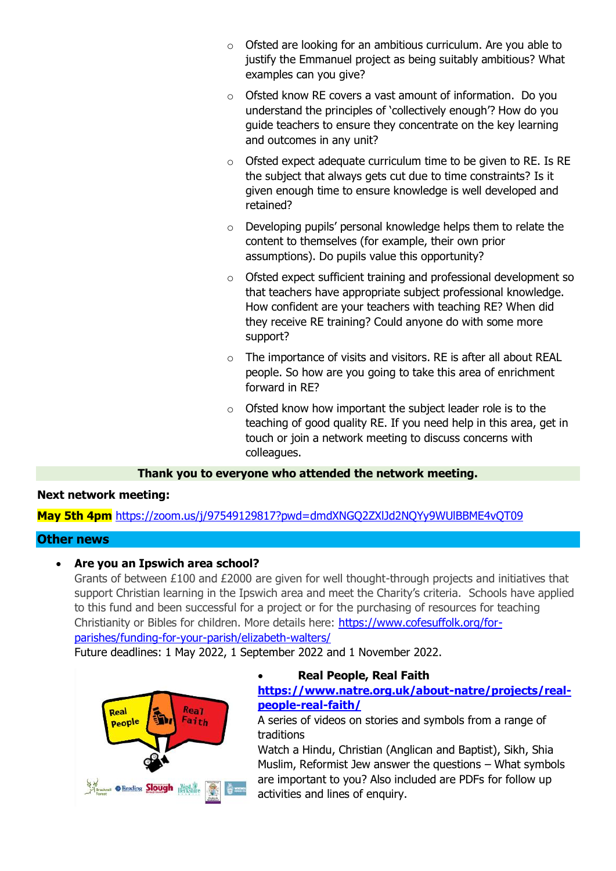- o Ofsted are looking for an ambitious curriculum. Are you able to justify the Emmanuel project as being suitably ambitious? What examples can you give?
- o Ofsted know RE covers a vast amount of information. Do you understand the principles of 'collectively enough'? How do you guide teachers to ensure they concentrate on the key learning and outcomes in any unit?
- o Ofsted expect adequate curriculum time to be given to RE. Is RE the subject that always gets cut due to time constraints? Is it given enough time to ensure knowledge is well developed and retained?
- o Developing pupils' personal knowledge helps them to relate the content to themselves (for example, their own prior assumptions). Do pupils value this opportunity?
- o Ofsted expect sufficient training and professional development so that teachers have appropriate subject professional knowledge. How confident are your teachers with teaching RE? When did they receive RE training? Could anyone do with some more support?
- o The importance of visits and visitors. RE is after all about REAL people. So how are you going to take this area of enrichment forward in RE?
- o Ofsted know how important the subject leader role is to the teaching of good quality RE. If you need help in this area, get in touch or join a network meeting to discuss concerns with colleagues.

## **Thank you to everyone who attended the network meeting.**

#### **Next network meeting:**

**May 5th 4pm** <https://zoom.us/j/97549129817?pwd=dmdXNGQ2ZXlJd2NQYy9WUlBBME4vQT09>

#### **Other news**

#### • **Are you an Ipswich area school?**

Grants of between £100 and £2000 are given for well thought-through projects and initiatives that support Christian learning in the Ipswich area and meet the Charity's criteria. Schools have applied to this fund and been successful for a project or for the purchasing of resources for teaching Christianity or Bibles for children. More details here: [https://www.cofesuffolk.org/for](https://www.cofesuffolk.org/for-parishes/funding-for-your-parish/elizabeth-walters/)[parishes/funding-for-your-parish/elizabeth-walters/](https://www.cofesuffolk.org/for-parishes/funding-for-your-parish/elizabeth-walters/)

Future deadlines: 1 May 2022, 1 September 2022 and 1 November 2022.



## • **Real People, Real Faith**

**[https://www.natre.org.uk/about-natre/projects/real](https://www.natre.org.uk/about-natre/projects/real-people-real-faith/)[people-real-faith/](https://www.natre.org.uk/about-natre/projects/real-people-real-faith/)**

A series of videos on stories and symbols from a range of traditions

Watch a Hindu, Christian (Anglican and Baptist), Sikh, Shia Muslim, Reformist Jew answer the questions – What symbols are important to you? Also included are PDFs for follow up activities and lines of enquiry.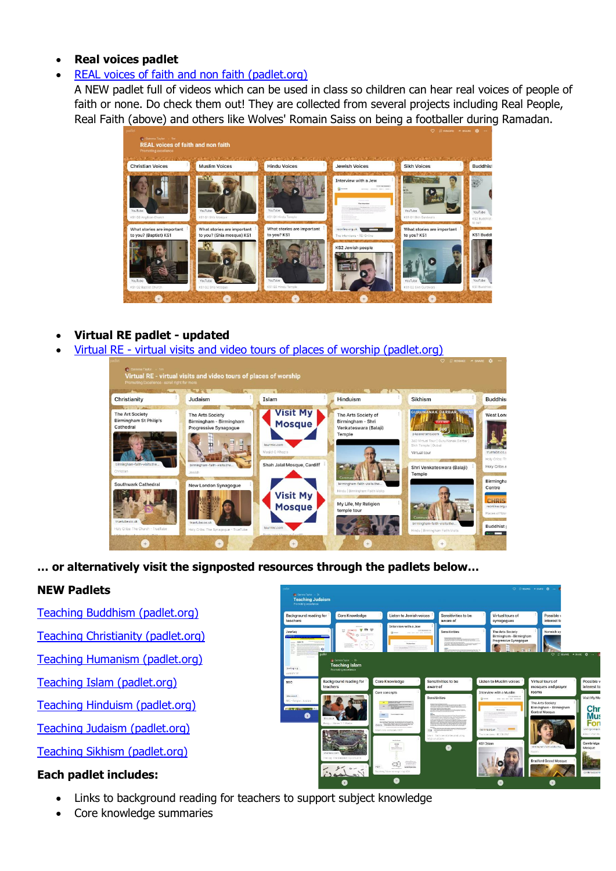#### • **Real voices padlet**

• [REAL voices of faith and non faith \(padlet.org\)](https://cofesuffolk.padlet.org/gemmakingston1/3d2b2pzew0lcemqp)

A NEW padlet full of videos which can be used in class so children can hear real voices of people of faith or none. Do check them out! They are collected from several projects including Real People, Real Faith (above) and others like Wolves' Romain Saiss on being a footballer during Ramadan.



- **Virtual RE padlet - updated**
- Virtual RE [virtual visits and video tours of places of worship \(padlet.org\)](https://cofesuffolk.padlet.org/gemmakingston1/xuiwor7oe1aiz6wt)

| Christianity                                                                                         | Judaism                                                                                                     | Islam                                                                                     | <b>Hinduism</b>                                                             | <b>Sikhism</b>                                                                                                                                               | <b>Buddhist</b>                                                                                        |
|------------------------------------------------------------------------------------------------------|-------------------------------------------------------------------------------------------------------------|-------------------------------------------------------------------------------------------|-----------------------------------------------------------------------------|--------------------------------------------------------------------------------------------------------------------------------------------------------------|--------------------------------------------------------------------------------------------------------|
| <b>The Art Society</b><br><b>Birmingham St Philip's</b><br>Cathedral<br>birmingham-faith-visits.the. | <b>The Arts Society</b><br>Birmingham - Birmingham<br>Progressive Synagogue<br>birmingham-faith-visits.the. | Visit My<br><b>Mosque</b><br>tourmkr.com<br>Masjid-E-Khazra<br>Shah Jalal Mosque, Cardiff | The Arts Society of<br>Birmingham - Shri<br>Venkateswara (Balaji)<br>Temple | <b>GURUNANAK DARBAR, DUBAL</b><br><b>CLASS</b><br>$-360.$<br>p4panorama.com<br>360 Virtual Tour   Guru Nanak Darbar  <br>Sikh Temple   Dubai<br>Virtual tour | West Long<br>truetube.co.u<br>Holy Cribs: Th<br>Holy Cribs a                                           |
| Christian<br><b>Southwark Cathedral</b>                                                              | Jewish<br>New London Synagogue                                                                              |                                                                                           | birmingham-faith-visits.the                                                 | Shri Venkateswara (Balaji)<br>Temple                                                                                                                         | Birmingha                                                                                              |
| truetube.co.uk<br>Holy Cribs: The Church - TrueTube                                                  | truetube.co.uk<br>Holy Cribs: The Synagogue - TrueTube                                                      | <b>Visit My</b><br><b>Mosque</b><br>tourmkr.com                                           | Hindu   Birmingham Faith Visits<br>My Life, My Religion<br>temple tour      | Commu<br>birmingham-faith-visits.the<br>Hindu   Birmingham Faith Visits                                                                                      | Centre<br><b>CHRIST</b><br>reonline.org.u<br>Places of Worr<br><b>Buddhist</b><br><b>State Control</b> |

**… or alternatively visit the signposted resources through the padlets below…**

## **NEW Padlets**

- [Teaching Buddhism \(padlet.org\)](https://cofesuffolk.padlet.org/gemmakingston1/u7tdesy5oo0ratbm)
- [Teaching Christianity \(padlet.org\)](https://cofesuffolk.padlet.org/gemmakingston1/bmablqlcyiqus8y)
- [Teaching Humanism \(padlet.org\)](https://cofesuffolk.padlet.org/gemmakingston1/ugd4i7xcjcyylu8d)
- [Teaching Islam \(padlet.org\)](https://cofesuffolk.padlet.org/gemmakingston1/5k9ywntz47n22606)
- [Teaching Hinduism \(padlet.org\)](https://cofesuffolk.padlet.org/gemmakingston1/ddsfpd6krfdx9mco)
- [Teaching Judaism \(padlet.org\)](https://cofesuffolk.padlet.org/gemmakingston1/m20zr3w16n66y8mj)

[Teaching Sikhism \(padlet.org\)](https://cofesuffolk.padlet.org/gemmakingston1/vf4c23t7jnakhzbe)

## **Each padlet includes:**

- Links to background reading for teachers to support subject knowledge
- Core knowledge summaries